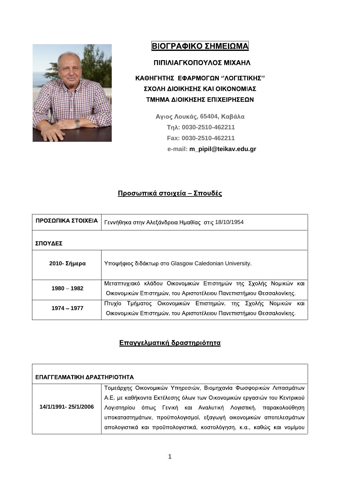

# ΒΙΟΓΡΑΦΙΚΟ ΣΗΜΕΙΩΜΑ

## ΠΙΠΙΛΙΑΓΚΟΠΟΥΛΟΣ ΜΙΧΑΗΛ

# ΚΑΘΗΓΗΤΗΣ ΕΦΑΡΜΟΓΩΝ "ΛΟΓΙΣΤΙΚΗΣ" ΣΧΟΛΗ ΔΙΟΙΚΗΣΗΣ ΚΑΙ ΟΙΚΟΝΟΜΙΑΣ ΤΜΗΜΑ ΔΙΟΙΚΗΣΗΣ ΕΠΙΧΕΙΡΗΣΕΩΝ

**Αγιος Λουκάς, 65404, Καβάλα : 0030-2510-462211 Fax: 0030-2510-462211 e-mail: m\_pipil@teikav.edu.gr**

## Προσωπικά στοιχεία – Σπουδές

| ΠΡΟΣΩΠΙΚΑ ΣΤΟΙΧΕΙΑ | Γεννήθηκα στην Αλεξάνδρεια Ημαθίας  στις 18/10/1954                                                                                        |
|--------------------|--------------------------------------------------------------------------------------------------------------------------------------------|
| ΣΠΟΥΔΕΣ            |                                                                                                                                            |
| 2010- Σήμερα       | Υποψήφιος διδάκτωρ στο Glasgow Caledonian University.                                                                                      |
| 1980 - 1982        | Μεταπτυχιακό κλάδου Οικονομικών Επιστημών της Σχολής Νομικών και  <br>Οικονομικών Επιστημών, του Αριστοτέλειου Πανεπιστήμιου Θεσσαλονίκης. |
| $1974 - 1977$      | Πτυχίο Τμήματος Οικονομικών Επιστημών, της Σχολής Νομικών και<br>Οικονομικών Επιστημών, του Αριστοτέλειου Πανεπιστήμιου Θεσσαλονίκης.      |

## Επαγγελματική δραστηριότητα

| <b>Ι ΕΠΑΓΓΕΛΜΑΤΙΚΗ ΔΡΑΣΤΗΡΙΟΤΗΤΑ</b> |                                                                         |
|--------------------------------------|-------------------------------------------------------------------------|
|                                      | Τομεάρχης Οικονομικών Υπηρεσιών, Βιομηχανία Φωσφορικών Λιπασμάτων       |
|                                      | Α.Ε, με καθήκοντα Εκτέλεσης όλων των Οικονομικών εργασιών του Κεντρικού |
| 14/1/1991-25/1/2006                  | Λογιστηρίου όπως Γενική και Αναλυτική Λογιστική, παρακολούθηση          |
|                                      | υποκαταστημάτων, προϋπολογισμοί, εξαγωγή οικονομικών αποτελεσμάτων      |
|                                      | απολογιστικά και προϋπολογιστικά, κοστολόγηση, κ.α., καθώς και νομίμου  |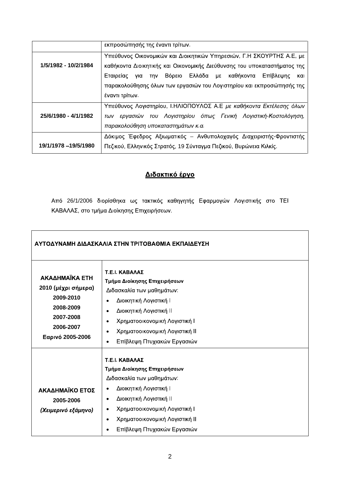|                       | εκπροσώπησής της έναντι τρίτων.                                          |
|-----------------------|--------------------------------------------------------------------------|
|                       | Υπεύθυνος Οικονομικών και Διοικητικών Υπηρεσιών, Γ.Η ΣΚΟΥΡΤΗΣ Α.Ε, με    |
| 1/5/1982 - 10/2/1984  | καθήκοντα Διοικητικής και Οικονομικής Διεύθυνσης του υποκαταστήματος της |
|                       | Εταιρείας για την Βόρειο Ελλάδα με καθήκοντα Επίβλεψης και               |
|                       | παρακολούθησης όλων των εργασιών του Λογιστηρίου και εκπροσώπησής της    |
|                       | έναντι τρίτων.                                                           |
|                       | Υπεύθυνος Λογιστηρίου, Ι.ΗΛΙΟΠΟΥΛΟΣ Α.Ε με καθήκοντα Εκτέλεσης όλων      |
| 25/6/1980 - 4/1/1982  | των εργασιών του Λογιστηρίου όπως Γενική Λογιστική-Κοστολόγηση,          |
|                       | παρακολούθηση υποκαταστημάτων κ.α.                                       |
|                       | Δόκιμος Έφεδρος Αξιωματικός - Ανθυπολοχαγός Διαχειριστής-Φροντιστής      |
| 19/1/1978 - 19/5/1980 | Πεζικού, Ελληνικός Στρατός, 19 Σύνταγμα Πεζικού, Βυρώνεια Κιλκίς.        |
|                       |                                                                          |

## Διδακτικό έργο

Από 26/1/2006 διορίσθηκα ως τακτικός καθηγητής Εφαρμογών Λογιστικής στο ΤΕΙ ΚΑΒΑΛΑΣ, στο τμήμα Διοίκησης Επιχειρήσεων.

|                                                                                                               | ΑΥΤΟΔΥΝΑΜΗ ΔΙΔΑΣΚΑΛΙΑ ΣΤΗΝ ΤΡΙΤΟΒΑΘΜΙΑ ΕΚΠΑΙΔΕΥΣΗ                                                                                                                                                                                            |
|---------------------------------------------------------------------------------------------------------------|----------------------------------------------------------------------------------------------------------------------------------------------------------------------------------------------------------------------------------------------|
| ΑΚΑΔΗΜΑΪΚΑ ΕΤΗ<br>2010 (μέχρι σήμερα)<br>2009-2010<br>2008-2009<br>2007-2008<br>2006-2007<br>Εαρινό 2005-2006 | Τ.Ε.Ι. ΚΑΒΑΛΑΣ<br>Τμήμα Διοίκησης Επιχειρήσεων<br>Διδασκαλία των μαθημάτων:<br>• Διοικητική Λογιστική Ι<br>• Διοικητική Λογιστική ΙΙ<br>• Χρηματοοικονομική Λογιστική I<br>• Χρηματοοικονομική Λογιστική ΙΙ<br>• Επίβλεψη Πτυχιακών Εργασιών |
| ΑΚΑΔΗΜΑΪΚΟ ΕΤΟΣ<br>2005-2006<br>(Χειμερινό εξάμηνο)                                                           | Τ.Ε.Ι. ΚΑΒΑΛΑΣ<br>Τμήμα Διοίκησης Επιχειρήσεων<br>Διδασκαλία των μαθημάτων:<br>• Διοικητική Λογιστική Ι<br>• Διοικητική Λογιστική ΙΙ<br>• Χρηματοοικονομική Λογιστική Ι<br>• Χρηματοοικονομική Λογιστική ΙΙ<br>• Επίβλεψη Πτυχιακών Εργασιών |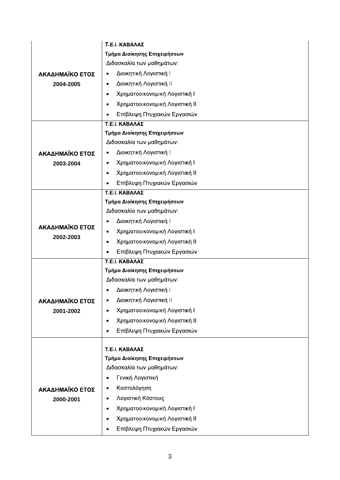|                 | Τ.Ε.Ι. ΚΑΒΑΛΑΣ                              |  |
|-----------------|---------------------------------------------|--|
|                 | Τμήμα Διοίκησης Επιχειρήσεων                |  |
|                 | Διδασκαλία των μαθημάτων:                   |  |
| ΑΚΑΔΗΜΑΪΚΟ ΕΤΟΣ | • Διοικητική Λογιστική Ι                    |  |
| 2004-2005       | • Διοικητική Λογιστική ΙΙ                   |  |
|                 | • Χρηματοοικονομική Λογιστική Ι             |  |
|                 | • Χρηματοοικονομική Λογιστική ΙΙ            |  |
|                 | Επίβλεψη Πτυχιακών Εργασιών<br>$\bullet$    |  |
|                 | Τ.Ε.Ι. ΚΑΒΑΛΑΣ                              |  |
|                 | Τμήμα Διοίκησης Επιχειρήσεων                |  |
|                 | Διδασκαλία των μαθημάτων:                   |  |
| ΑΚΑΔΗΜΑΪΚΟ ΕΤΟΣ | • Διοικητική Λογιστική Ι                    |  |
| 2003-2004       | • Χρηματοοικονομική Λογιστική Ι             |  |
|                 | • Χρηματοοικονομική Λογιστική ΙΙ            |  |
|                 | Επίβλεψη Πτυχιακών Εργασιών<br>$\bullet$    |  |
|                 | Τ.Ε.Ι. ΚΑΒΑΛΑΣ                              |  |
|                 | Τμήμα Διοίκησης Επιχειρήσεων                |  |
|                 | Διδασκαλία των μαθημάτων:                   |  |
| ΑΚΑΔΗΜΑΪΚΟ ΕΤΟΣ | • Διοικητική Λογιστική Ι                    |  |
| 2002-2003       | • Χρηματοοικονομική Λογιστική Ι             |  |
|                 | • Χρηματοοικονομική Λογιστική ΙΙ            |  |
|                 | Επίβλεψη Πτυχιακών Εργασιών<br>$\bullet$    |  |
|                 | Τ.Ε.Ι. ΚΑΒΑΛΑΣ                              |  |
|                 | Τμήμα Διοίκησης Επιχειρήσεων                |  |
|                 | Διδασκαλία των μαθημάτων:                   |  |
|                 | • Διοικητική Λογιστική Ι                    |  |
| ΑΚΑΔΗΜΑΪΚΟ ΕΤΟΣ | Διοικητική Λογιστική ΙΙ<br>$\bullet$        |  |
| 2001-2002       | • Χρηματοοικονομική Λογιστική Ι             |  |
|                 | • Χρηματοοικονομική Λογιστική ΙΙ            |  |
|                 | Επίβλεψη Πτυχιακών Εργασιών                 |  |
|                 | Τ.Ε.Ι. ΚΑΒΑΛΑΣ                              |  |
|                 | Τμήμα Διοίκησης Επιχειρήσεων                |  |
|                 | Διδασκαλία των μαθημάτων:                   |  |
|                 | • Γενική Λογιστική                          |  |
| ΑΚΑΔΗΜΑΪΚΟ ΕΤΟΣ | • Κοστολόγηση                               |  |
| 2000-2001       | • Λογιστική Κόστους                         |  |
|                 | Χρηματοοικονομική Λογιστική Ι<br>$\bullet$  |  |
|                 | Χρηματοοικονομική Λογιστική II<br>$\bullet$ |  |
|                 |                                             |  |
|                 | Επίβλεψη Πτυχιακών Εργασιών<br>$\bullet$    |  |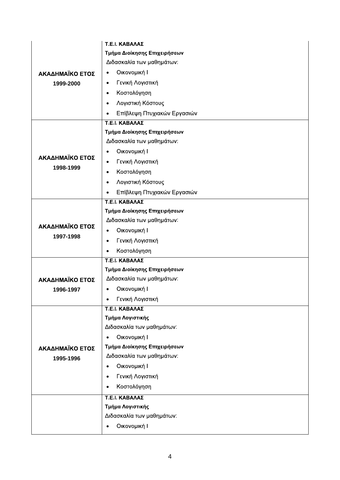|                 | Τ.Ε.Ι. ΚΑΒΑΛΑΣ                                            |  |  |
|-----------------|-----------------------------------------------------------|--|--|
|                 | Τμήμα Διοίκησης Επιχειρήσεων                              |  |  |
|                 | Διδασκαλία των μαθημάτων:                                 |  |  |
| ΑΚΑΔΗΜΑΪΚΟ ΕΤΟΣ | • Οικονομική Ι                                            |  |  |
| 1999-2000       | • Γενική Λογιστική                                        |  |  |
|                 | • Κοστολόγηση                                             |  |  |
|                 | • Λογιστική Κόστους                                       |  |  |
|                 | • Επίβλεψη Πτυχιακών Εργασιών                             |  |  |
|                 | Τ.Ε.Ι. ΚΑΒΑΛΑΣ                                            |  |  |
|                 | Τμήμα Διοίκησης Επιχειρήσεων                              |  |  |
|                 | Διδασκαλία των μαθημάτων:                                 |  |  |
| ΑΚΑΔΗΜΑΪΚΟ ΕΤΟΣ | • Οικονομική Ι                                            |  |  |
|                 | • Γενική Λογιστική                                        |  |  |
| 1998-1999       | • Κοστολόγηση                                             |  |  |
|                 | • Λογιστική Κόστους                                       |  |  |
|                 | • Επίβλεψη Πτυχιακών Εργασιών                             |  |  |
|                 | Τ.Ε.Ι. ΚΑΒΑΛΑΣ                                            |  |  |
|                 | Τμήμα Διοίκησης Επιχειρήσεων                              |  |  |
| ΑΚΑΔΗΜΑΪΚΟ ΕΤΟΣ | Διδασκαλία των μαθημάτων:                                 |  |  |
| 1997-1998       | • Οικονομική Ι                                            |  |  |
|                 | • Γενική Λογιστική                                        |  |  |
|                 | • Κοστολόγηση                                             |  |  |
|                 | Τ.Ε.Ι. ΚΑΒΑΛΑΣ                                            |  |  |
|                 | Τμήμα Διοίκησης Επιχειρήσεων                              |  |  |
| ΑΚΑΔΗΜΑΪΚΟ ΕΤΟΣ | Διδασκαλία των μαθημάτων:                                 |  |  |
| 1996-1997       | • Οικονομική Ι                                            |  |  |
|                 | • Γενική Λογιστική                                        |  |  |
|                 | Τ.Ε.Ι. ΚΑΒΑΛΑΣ                                            |  |  |
|                 | Τμήμα Λογιστικής                                          |  |  |
|                 | Διδασκαλία των μαθημάτων:                                 |  |  |
|                 | • Οικονομική Ι                                            |  |  |
| ΑΚΑΔΗΜΑΪΚΟ ΕΤΟΣ | Τμήμα Διοίκησης Επιχειρήσεων<br>Διδασκαλία των μαθημάτων: |  |  |
| 1995-1996       | • Οικονομική Ι                                            |  |  |
|                 | • Γενική Λογιστική                                        |  |  |
|                 |                                                           |  |  |
|                 | • Κοστολόγηση                                             |  |  |
|                 | Τ.Ε.Ι. ΚΑΒΑΛΑΣ                                            |  |  |
|                 | Τμήμα Λογιστικής                                          |  |  |
|                 | Διδασκαλία των μαθημάτων:                                 |  |  |
|                 | • Οικονομική Ι                                            |  |  |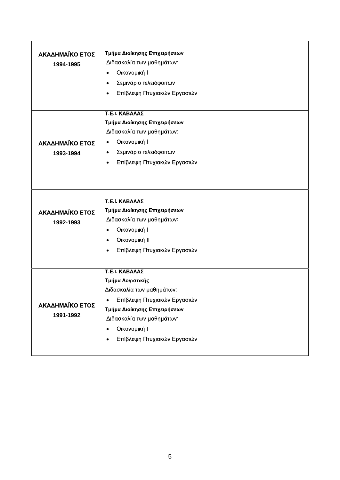| ΑΚΑΔΗΜΑΪΚΟ ΕΤΟΣ | Τμήμα Διοίκησης Επιχειρήσεων  |
|-----------------|-------------------------------|
| 1994-1995       | Διδασκαλία των μαθημάτων:     |
|                 | • Οικονομική Ι                |
|                 | • Σεμινάριο τελειόφοιτων      |
|                 | • Επίβλεψη Πτυχιακών Εργασιών |
|                 |                               |
|                 | Τ.Ε.Ι. ΚΑΒΑΛΑΣ                |
|                 | Τμήμα Διοίκησης Επιχειρήσεων  |
|                 | Διδασκαλία των μαθημάτων:     |
| ΑΚΑΔΗΜΑΪΚΟ ΕΤΟΣ | • Οικονομική Ι                |
| 1993-1994       | • Σεμινάριο τελειόφοιτων      |
|                 | • Επίβλεψη Πτυχιακών Εργασιών |
|                 |                               |
|                 |                               |
|                 |                               |
|                 | Τ.Ε.Ι. ΚΑΒΑΛΑΣ                |
| ΑΚΑΔΗΜΑΪΚΟ ΕΤΟΣ | Τμήμα Διοίκησης Επιχειρήσεων  |
| 1992-1993       | Διδασκαλία των μαθημάτων:     |
|                 | • Οικονομική Ι                |
|                 | • Οικονομική ΙΙ               |
|                 | • Επίβλεψη Πτυχιακών Εργασιών |
|                 |                               |
|                 | Τ.Ε.Ι. ΚΑΒΑΛΑΣ                |
|                 | Τμήμα Λογιστικής              |
|                 | Διδασκαλία των μαθημάτων:     |
|                 | • Επίβλεψη Πτυχιακών Εργασιών |
| ΑΚΑΔΗΜΑΪΚΟ ΕΤΟΣ | Τμήμα Διοίκησης Επιχειρήσεων  |
| 1991-1992       | Διδασκαλία των μαθημάτων:     |
|                 | • Οικονομική Ι                |
|                 |                               |
|                 | • Επίβλεψη Πτυχιακών Εργασιών |
|                 |                               |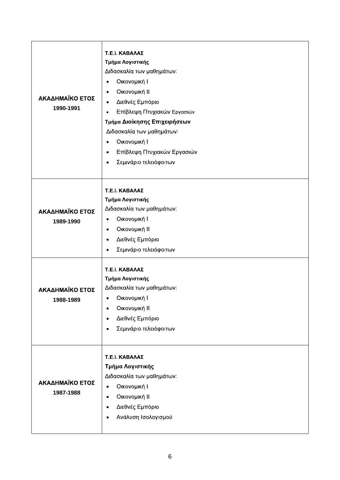| ΑΚΑΔΗΜΑΪΚΟ ΕΤΟΣ<br>1990-1991 | Τ.Ε.Ι. ΚΑΒΑΛΑΣ<br>Τμήμα Λογιστικής<br>Διδασκαλία των μαθημάτων:<br>• Οικονομική Ι<br>• Οικονομική ΙΙ<br>• Διεθνές Εμπόριο<br>• Επίβλεψη Πτυχιακών Εργασιών<br>Τμήμα Διοίκησης Επιχειρήσεων<br>Διδασκαλία των μαθημάτων:<br>• Οικονομική Ι<br>• Επίβλεψη Πτυχιακών Εργασιών<br><b>•</b> Σεμινάριο τελειόφοιτων |  |  |
|------------------------------|---------------------------------------------------------------------------------------------------------------------------------------------------------------------------------------------------------------------------------------------------------------------------------------------------------------|--|--|
| ΑΚΑΔΗΜΑΪΚΟ ΕΤΟΣ<br>1989-1990 | Τ.Ε.Ι. ΚΑΒΑΛΑΣ<br>Τμήμα Λογιστικής<br>Διδασκαλία των μαθημάτων:<br>• Οικονομική Ι<br>• Οικονομική ΙΙ<br>• Διεθνές Εμπόριο<br>• Σεμινάριο τελειόφοιτων                                                                                                                                                         |  |  |
| ΑΚΑΔΗΜΑΪΚΟ ΕΤΟΣ<br>1988-1989 | Τ.Ε.Ι. ΚΑΒΑΛΑΣ<br>Τμήμα Λογιστικής<br>Διδασκαλία των μαθημάτων:<br>• Οικονομική Ι<br>• Οικονομική ΙΙ<br>• Διεθνές Εμπόριο<br>• Σεμινάριο τελειόφοιτων                                                                                                                                                         |  |  |
| ΑΚΑΔΗΜΑΪΚΟ ΕΤΟΣ<br>1987-1988 | Τ.Ε.Ι. ΚΑΒΑΛΑΣ<br>Τμήμα Λογιστικής<br>Διδασκαλία των μαθημάτων:<br>• Οικονομική Ι<br>• Οικονομική ΙΙ<br>• Διεθνές Εμπόριο<br>• Ανάλυση Ισολογισμού                                                                                                                                                            |  |  |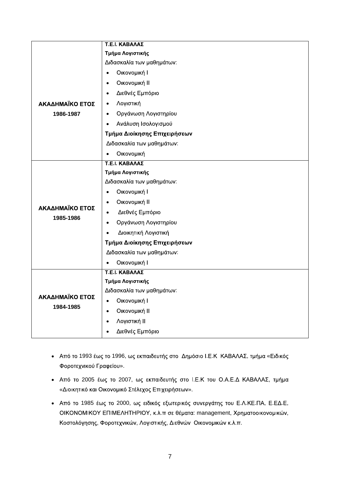|                              | Τ.Ε.Ι. ΚΑΒΑΛΑΣ                |
|------------------------------|-------------------------------|
|                              | Τμήμα Λογιστικής              |
|                              | Διδασκαλία των μαθημάτων:     |
|                              | • Οικονομική Ι                |
|                              | • Οικονομική ΙΙ               |
|                              | • Διεθνές Εμπόριο             |
| ΑΚΑΔΗΜΑΪΚΟ ΕΤΟΣ              | • Λογιστική                   |
| 1986-1987                    | <b>•</b> Οργάνωση Λογιστηρίου |
|                              | <b>•</b> Ανάλυση Ισολογισμού  |
|                              | Τμήμα Διοίκησης Επιχειρήσεων  |
|                              | Διδασκαλία των μαθημάτων:     |
|                              | • Οικονομική                  |
|                              | Τ.Ε.Ι. ΚΑΒΑΛΑΣ                |
|                              | Τμήμα Λογιστικής              |
|                              | Διδασκαλία των μαθημάτων:     |
|                              | • Οικονομική Ι                |
|                              | • Οικονομική ΙΙ               |
| ΑΚΑΔΗΜΑΪΚΟ ΕΤΟΣ              | <b>•</b> Διεθνές Εμπόριο      |
| 1985-1986                    | <b>•</b> Οργάνωση Λογιστηρίου |
|                              | • Διοικητική Λογιστική        |
|                              | Τμήμα Διοίκησης Επιχειρήσεων  |
|                              | Διδασκαλία των μαθημάτων:     |
|                              | • Οικονομική Ι                |
|                              | Τ.Ε.Ι. ΚΑΒΑΛΑΣ                |
|                              | Τμήμα Λογιστικής              |
|                              | Διδασκαλία των μαθημάτων:     |
| ΑΚΑΔΗΜΑΪΚΟ ΕΤΟΣ<br>1984-1985 | • Οικονομική Ι                |
|                              | • Οικονομική ΙΙ               |
|                              | • Λογιστική ΙΙ                |
|                              | • Διεθνές Εμπόριο             |
|                              |                               |

- Από το 1993 έως το 1996, ως εκπαιδευτής στο Δημόσιο Ι.Ε.Κ ΚΑΒΑΛΑΣ, τμήμα «Ειδικός ».
- · Από το 2005 έως το 2007, ως εκπαιδευτής στο Ι.Ε.Κ του Ο.Α.Ε.Δ ΚΑΒΑΛΑΣ, τμήμα «Διοικητικό και Οικονομικό Στέλεχος Επιχειρήσεων».
- Από το 1985 έως το 2000, ως ειδικός εξωτερικός συνεργάτης του Ε.Λ.ΚΕ.ΠΑ, Ε.ΕΔ.Ε, OIKONOMIKOY EΠΙΜΕΛΗΤΗΡΙΟΥ, κ.λ.π σε θέματα: management, Χρηματοοικονομικών, Κοστολόγησης, Φοροτεχνικών, Λογιστικής, Διεθνών Οικονομικών κ.λ.π.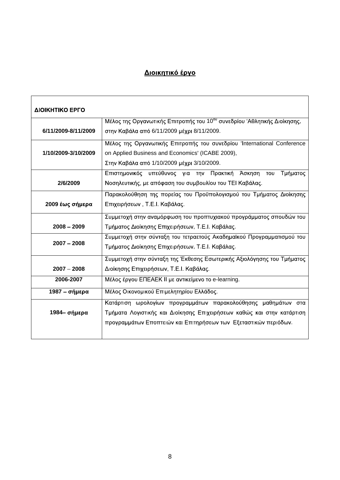## Διοικητικό έργο

 $\mathsf{r}$ 

| ΔΙΟΙΚΗΤΙΚΟ ΕΡΓΟ     |                                                                                      |
|---------------------|--------------------------------------------------------------------------------------|
|                     | Μέλος της Οργανωτικής Επιτροπής του 10 <sup>ου</sup> συνεδρίου 'Αθλητικής Διοίκησης, |
| 6/11/2009-8/11/2009 | στην Καβάλα από 6/11/2009 μέχρι 8/11/2009.                                           |
|                     | Μέλος της Οργανωτικής Επιτροπής του συνεδρίου 'International Conference              |
| 1/10/2009-3/10/2009 | on Applied Business and Economics' (ICABE 2009),                                     |
|                     | Στην Καβάλα από 1/10/2009 μέχρι 3/10/2009.                                           |
|                     | Επιστημονικός υπεύθυνος για την Πρακτική Άσκηση του Τμήματος                         |
| 2/6/2009            | Νοσηλευτικής, με απόφαση του συμβουλίου του ΤΕΙ Καβάλας.                             |
|                     | Παρακολούθηση της πορείας του Προϋπολογισμού του Τμήματος Διοίκησης                  |
| 2009 έως σήμερα     | Επιχειρήσεων, Τ.Ε.Ι. Καβάλας.                                                        |
|                     | Συμμετοχή στην αναμόρφωση του προπτυχιακού προγράμματος σπουδών του                  |
| $2008 - 2009$       | Τμήματος Διοίκησης Επιχειρήσεων, Τ.Ε.Ι. Καβάλας.                                     |
|                     | Συμμετοχή στην σύνταξη του τετραετούς Ακαδημαϊκού Προγραμματισμού του                |
| $2007 - 2008$       | Τμήματος Διοίκησης Επιχειρήσεων, Τ.Ε.Ι. Καβάλας.                                     |
|                     | Συμμετοχή στην σύνταξη της Έκθεσης Εσωτερικής Αξιολόγησης του Τμήματος               |
| $2007 - 2008$       | Διοίκησης Επιχειρήσεων, Τ.Ε.Ι. Καβάλας.                                              |
| 2006-2007           | Μέλος έργου ΕΠΕΑΕΚ ΙΙ με αντικείμενο το e-learning.                                  |
| 1987 – σήμερα       | Μέλος Οικονομικού Επιμελητηρίου Ελλάδος.                                             |
|                     | Κατάρτιση ωρολογίων προγραμμάτων παρακολούθησης μαθημάτων στα                        |
| 1984– σήμερα        | Τμήματα Λογιστικής και Διοίκησης Επιχειρήσεων καθώς και στην κατάρτιση               |
|                     | προγραμμάτων Εποπτειών και Επιτηρήσεων των Εξεταστικών περιόδων.                     |
|                     |                                                                                      |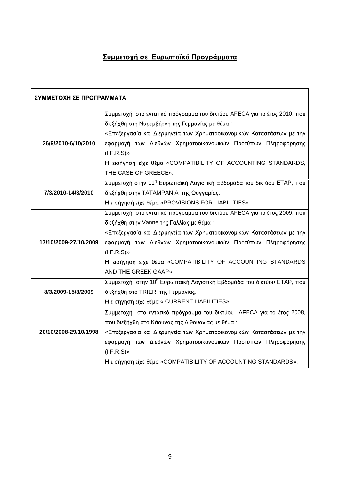# Συμμετοχή σε Ευρωπαϊκά Προγράμματα

| ΣΥΜΜΕΤΟΧΗ ΣΕ ΠΡΟΓΡΑΜΜΑΤΑ |                                                                                                       |
|--------------------------|-------------------------------------------------------------------------------------------------------|
|                          | Συμμετοχή στο εντατικό πρόγραμμα του δικτύου ΑFECA για το έτος 2010, που $\mid$                       |
|                          | διεξήχθη στη Νυρεμβέργη της Γερμανίας με θέμα :                                                       |
|                          | «Επεξεργασία και Διερμηνεία των Χρηματοοικονομικών Καταστάσεων με την                                 |
| 26/9/2010-6/10/2010      | εφαρμογή των Διεθνών Χρηματοοικονομικών Προτύπων Πληροφόρησης                                         |
|                          | (I.F.R.S)                                                                                             |
|                          | Η εισήγηση είχε θέμα «COMPATIBILITY OF ACCOUNTING STANDARDS,                                          |
|                          | THE CASE OF GREECE».                                                                                  |
|                          | Συμμετοχή στην 11 <sup>η</sup> Ευρωπαϊκή Λογιστική Εβδομάδα του δικτύου ΕΤΑΡ, που                     |
| 7/3/2010-14/3/2010       | διεξήχθη στην ΤΑΤΑΜΡΑΝΙΑ της Ουγγαρίας.                                                               |
|                          | Η εισήγησή είχε θέμα «PROVISIONS FOR LIABILITIES».                                                    |
|                          | Συμμετοχή στο εντατικό πρόγραμμα του δικτύου ΑFECA για το έτος 2009, που                              |
|                          | διεξήχθη στην Vanne της Γαλλίας με θέμα:                                                              |
|                          | «Επεξεργασία και Διερμηνεία των Χρηματοοικονομικών Καταστάσεων με την                                 |
|                          | 17/10/2009-27/10/2009   εφαρμογή των Διεθνών Χρηματοοικονομικών Προτύπων Πληροφόρησης                 |
|                          | $(I.F.R.S)*$                                                                                          |
|                          | Η εισήγηση είχε θέμα «COMPATIBILITY OF ACCOUNTING STANDARDS                                           |
|                          | AND THE GREEK GAAP».                                                                                  |
|                          | Συμμετοχή στην 10 <sup>η</sup> Ευρωπαϊκή Λογιστική Εβδομάδα του δικτύου ΕΤΑΡ, που                     |
| 8/3/2009-15/3/2009       | διεξήχθη στο TRIER της Γερμανίας.                                                                     |
|                          | Η εισήγησή είχε θέμα « CURRENT LIABILITIES».                                                          |
|                          | Συμμετοχή στο εντατικό πρόγραμμα του δικτύου ΑFECA για το έτος 2008,                                  |
|                          | που διεξήχθη στο Κάουνας της Λιθουανίας με θέμα :                                                     |
|                          | 10/1 <b>0/2008-29/10/1998  </b> «Επεξεργασία και Διερμηνεία των Χρηματοοικονομικών Καταστάσεων με την |
|                          | εφαρμογή των Διεθνών Χρηματοοικονομικών Προτύπων Πληροφόρησης                                         |
|                          | $(I.F.R.S)*$                                                                                          |
|                          | Η εισήγηση είχε θέμα «COMPATIBILITY OF ACCOUNTING STANDARDS».                                         |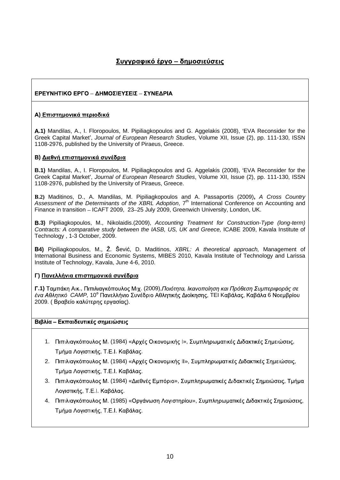## Συγγραφικό έργο – δημοσιεύσεις

#### ΕΡΕΥΝΗΤΙΚΟ ΕΡΓΟ - ΔΗΜΟΣΙΕΥΣΕΙΣ - ΣΥΝΕΔΡΙΑ

#### **A) Επιστημονικά περιοδικά**

**.1)** Mandilas, A., I. Floropoulos, M. Pipiliagkopoulos and G. Aggelakis (2008), EVA Reconsider for the Greek Capital Market', Journal of European Research Studies, Volume XII, Issue (2), pp. 111-130, ISSN 1108-2976, published by the University of Piraeus, Greece.

#### **B) Διεθνή επιστημονικά συνέδρια**

**B.1)** Mandilas, A., I. Floropoulos, M. Pipiliagkopoulos and G. Aggelakis (2008), EVA Reconsider for the Greek Capital Market', Journal of European Research Studies, Volume XII, Issue (2), pp. 111-130, ISSN 1108-2976, published by the University of Piraeus, Greece.

**.2)** Maditinos, D., A. Mandilas, M. Pipiliagkopoulos and A. Passaportis (2009)**,** A Cross Country Assessment of the Determinants of the XBRL Adoption, 7<sup>th</sup> International Conference on Accounting and Finance in transition - ICAFT 2009, 23-25 July 2009, Greenwich University, London, UK.

**.3)** Pipiliagkopoulos, M., Nikolaidis.(2009), Accounting Treatment for Construction-Type (long-term) Contracts: A comparative study between the IASB, US, UK and Greece, ICABE 2009, Kavala Institute of Technology , 1-3 October, 2009.

**B4)** Pipiliagkopoulos, M., Ž. Šević, D. Maditinos, XBRL: A theoretical approach, Management of International Business and Economic Systems, MIBES 2010, Kavala Institute of Technology and Larissa Institute of Technology, Kavala, June 4-6, 2010.

#### **)**

**Γ.1)** Ταμπάκη Αικ., Πιπιλιαγκόπουλος Μιχ. (2009), Ποιότητα, Ικανοποίηση και Πρόθεση Συμπεριφοράς σε ένα Αθλητικό CAMP, 10° Πανελλήνιο Συνέδριο Αθλητικής Διοίκησης, ΤΕΙ Καβάλας, Καβάλα 6 Νοεμβρίου 2009. (Βραβείο καλύτερης εργασίας).

#### Βιβλία - Εκπαιδευτικές σημειώσεις

- 1. Πιπιλιαγκόπουλος Μ. (1984) «Αρχές Οικονομικής Ι», Συμπληρωματικές Διδακτικές Σημειώσεις, Τμήμα Λογιστικής, Τ.Ε.Ι. Καβάλας.
- 2. Πιπιλιαγκόπουλος Μ. (1984) «Αρχές Οικονομικής ΙΙ», Συμπληρωματικές Διδακτικές Σημειώσεις, Τμήμα Λογιστικής, Τ.Ε.Ι. Καβάλας.
- 3. Πιπιλιαγκόπουλος Μ. (1984) «Διεθνές Εμπόριο», Συμπληρωματικές Διδακτικές Σημειώσεις, Τμήμα Λογιστικής, Τ.Ε.Ι. Καβάλας.
- 4. Πιπιλιαγκόπουλος Μ. (1985) «Οργάνωση Λογιστηρίου», Συμπληρωματικές Διδακτικές Σημειώσεις, Τμήμα Λογιστικής, Τ.Ε.Ι. Καβάλας.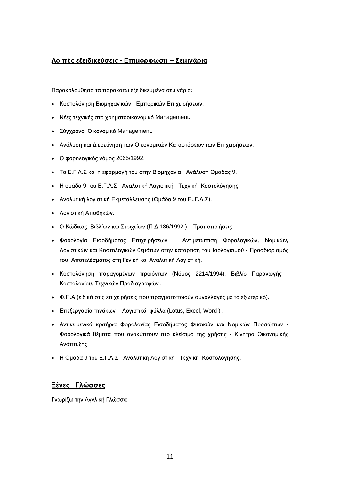### Λοιπές εξειδικεύσεις - Επιμόρφωση – Σεμινάρια

: A construction of the construction of the construction of the construction of the construction of the construction of the construction of the construction of the construction of the construction of the construction of th

- Κοστολόγηση Βιομηχανικών Εμπορικών Επιχειρήσεων.
- Management. **Management** with the state of the state of the state of the state of the state of the state of the state of the state of the state of the state of the state of the state of the state of the state of the state
- Management.
- .
- 2065/1992.
- . Το Ε.Γ.Λ.Σ και η εφαρμογή του στην Βιομηχανία Ανάλυση Ομάδας 9.
- Η ομάδα 9 του Ε.Γ.Λ.Σ Αναλυτική Λογιστική Τεχνική Κοστολόγησης.
- ( 9 .. . . ).
- . A construction of the construction of the construction of the construction of the construction of the construction of the construction of the construction of the construction of the construction of the construction of th
- Ο Κώδικας Βιβλίων και Στοιχείων (Π.Δ 186/1992) Τροποποιήσεις.
- , Νομικών, **τουρ** του προσ Λογιστικών και Κοστολογικών θεμάτων στην κατάρτιση του Ισολογισμού - Προσδιορισμός . A construction of the construction of the construction of the construction of the construction of the construction of the construction of the construction of the construction of the construction of the construction of th
- Κοστολόγηση παραγομένων προϊόντων (Νόμος 2214/1994), Βιβλίο Παραγωγής -Κοστολογίου, Τεχνικών Προδιαγραφών.
- Φ.Π.Α (ειδικά στις επιχειρήσεις που πραγματοποιούν συναλλαγές με το εξωτερικό).
- Επεξεργασία πινάκων Λογιστικά φύλλα (Lotus, Excel, Word).
- **-** Construction of the construction Φορολογικά θέματα που ανακύπτουν στο κλείσιμο της χρήσης - Κίνητρα Οικονομικής . A construction of the construction of the construction of the construction of the construction of the construction of the construction of the construction of the construction of the construction of the construction of th
- Η Ομάδα 9 του Ε.Γ.Λ.Σ Αναλυτική Λογιστική Τεχνική Κοστολόγησης.

#### *Ξένες Γλώσσες*

Γνωρίζω την Αγγλική Γλώσσα